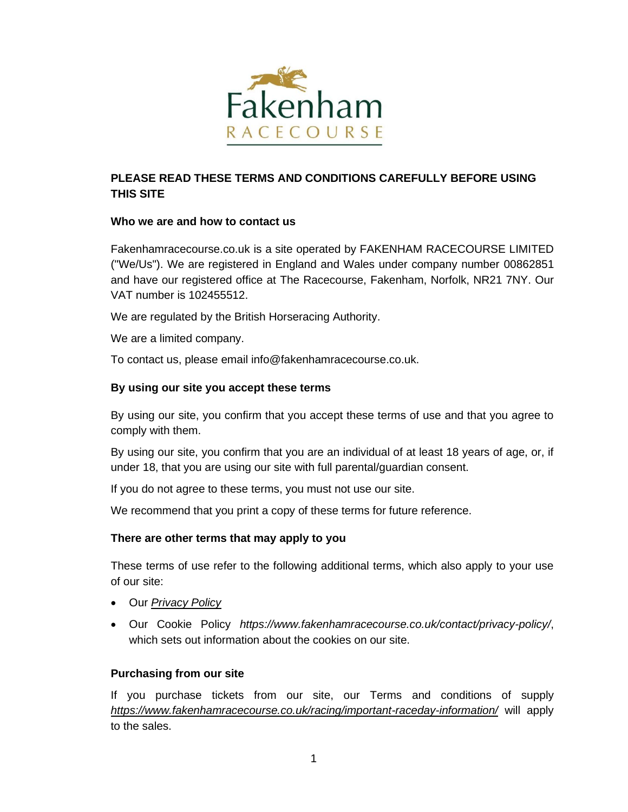

# **PLEASE READ THESE TERMS AND CONDITIONS CAREFULLY BEFORE USING THIS SITE**

# **Who we are and how to contact us**

Fakenhamracecourse.co.uk is a site operated by FAKENHAM RACECOURSE LIMITED ("We/Us"). We are registered in England and Wales under company number 00862851 and have our registered office at The Racecourse, Fakenham, Norfolk, NR21 7NY. Our VAT number is 102455512.

We are regulated by the British Horseracing Authority.

We are a limited company.

To contact us, please email info@fakenhamracecourse.co.uk.

# **By using our site you accept these terms**

By using our site, you confirm that you accept these terms of use and that you agree to comply with them.

By using our site, you confirm that you are an individual of at least 18 years of age, or, if under 18, that you are using our site with full parental/guardian consent.

If you do not agree to these terms, you must not use our site.

We recommend that you print a copy of these terms for future reference.

# **There are other terms that may apply to you**

These terms of use refer to the following additional terms, which also apply to your use of our site:

- Our *[Privacy Policy](https://www.fakenhamracecourse.co.uk/contact/privacy-policy/)*
- Our Cookie Policy *https://www.fakenhamracecourse.co.uk/contact/privacy-policy/*, which sets out information about the cookies on our site.

# **Purchasing from our site**

If you purchase tickets from our site, our Terms and conditions of supply *<https://www.fakenhamracecourse.co.uk/racing/important-raceday-information/>* will apply to the sales.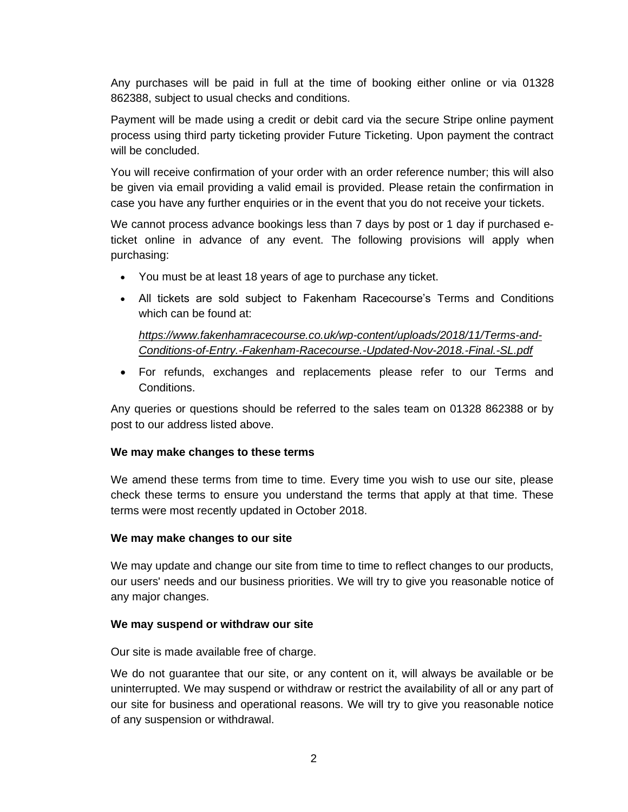Any purchases will be paid in full at the time of booking either online or via 01328 862388, subject to usual checks and conditions.

Payment will be made using a credit or debit card via the secure Stripe online payment process using third party ticketing provider Future Ticketing. Upon payment the contract will be concluded.

You will receive confirmation of your order with an order reference number; this will also be given via email providing a valid email is provided. Please retain the confirmation in case you have any further enquiries or in the event that you do not receive your tickets.

We cannot process advance bookings less than 7 days by post or 1 day if purchased eticket online in advance of any event. The following provisions will apply when purchasing:

- You must be at least 18 years of age to purchase any ticket.
- All tickets are sold subject to Fakenham Racecourse's Terms and Conditions which can be found at:

*[https://www.fakenhamracecourse.co.uk/wp-content/uploads/2018/11/Terms-and-](https://www.fakenhamracecourse.co.uk/wp-content/uploads/2018/11/Terms-and-Conditions-of-Entry.-Fakenham-Racecourse.-Updated-Nov-2018.-Final.-SL.pdf)[Conditions-of-Entry.-Fakenham-Racecourse.-Updated-Nov-2018.-Final.-SL.pdf](https://www.fakenhamracecourse.co.uk/wp-content/uploads/2018/11/Terms-and-Conditions-of-Entry.-Fakenham-Racecourse.-Updated-Nov-2018.-Final.-SL.pdf)*

• For refunds, exchanges and replacements please refer to our Terms and Conditions.

Any queries or questions should be referred to the sales team on 01328 862388 or by post to our address listed above.

# **We may make changes to these terms**

We amend these terms from time to time. Every time you wish to use our site, please check these terms to ensure you understand the terms that apply at that time. These terms were most recently updated in October 2018.

# **We may make changes to our site**

We may update and change our site from time to time to reflect changes to our products, our users' needs and our business priorities. We will try to give you reasonable notice of any major changes.

# **We may suspend or withdraw our site**

Our site is made available free of charge.

We do not guarantee that our site, or any content on it, will always be available or be uninterrupted. We may suspend or withdraw or restrict the availability of all or any part of our site for business and operational reasons. We will try to give you reasonable notice of any suspension or withdrawal.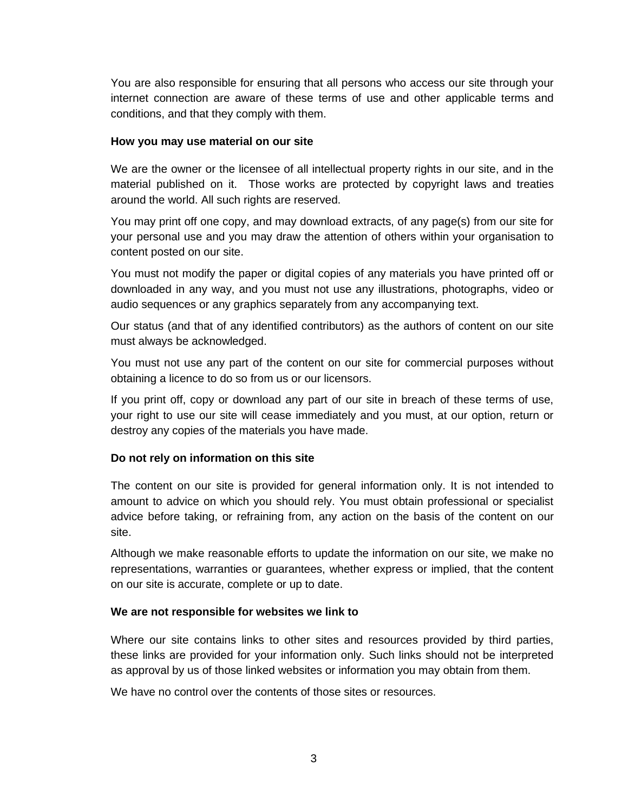You are also responsible for ensuring that all persons who access our site through your internet connection are aware of these terms of use and other applicable terms and conditions, and that they comply with them.

### **How you may use material on our site**

We are the owner or the licensee of all intellectual property rights in our site, and in the material published on it. Those works are protected by copyright laws and treaties around the world. All such rights are reserved.

You may print off one copy, and may download extracts, of any page(s) from our site for your personal use and you may draw the attention of others within your organisation to content posted on our site.

You must not modify the paper or digital copies of any materials you have printed off or downloaded in any way, and you must not use any illustrations, photographs, video or audio sequences or any graphics separately from any accompanying text.

Our status (and that of any identified contributors) as the authors of content on our site must always be acknowledged.

You must not use any part of the content on our site for commercial purposes without obtaining a licence to do so from us or our licensors.

If you print off, copy or download any part of our site in breach of these terms of use, your right to use our site will cease immediately and you must, at our option, return or destroy any copies of the materials you have made.

### **Do not rely on information on this site**

The content on our site is provided for general information only. It is not intended to amount to advice on which you should rely. You must obtain professional or specialist advice before taking, or refraining from, any action on the basis of the content on our site.

Although we make reasonable efforts to update the information on our site, we make no representations, warranties or guarantees, whether express or implied, that the content on our site is accurate, complete or up to date.

### **We are not responsible for websites we link to**

Where our site contains links to other sites and resources provided by third parties, these links are provided for your information only. Such links should not be interpreted as approval by us of those linked websites or information you may obtain from them.

We have no control over the contents of those sites or resources.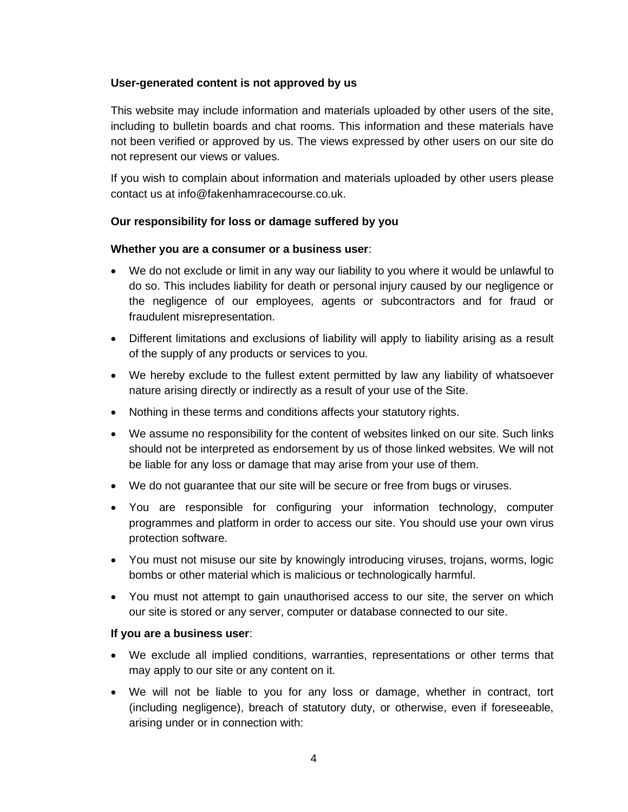### **User-generated content is not approved by us**

This website may include information and materials uploaded by other users of the site, including to bulletin boards and chat rooms. This information and these materials have not been verified or approved by us. The views expressed by other users on our site do not represent our views or values.

If you wish to complain about information and materials uploaded by other users please contact us at info@fakenhamracecourse.co.uk.

### **Our responsibility for loss or damage suffered by you**

### **Whether you are a consumer or a business user**:

- We do not exclude or limit in any way our liability to you where it would be unlawful to do so. This includes liability for death or personal injury caused by our negligence or the negligence of our employees, agents or subcontractors and for fraud or fraudulent misrepresentation.
- Different limitations and exclusions of liability will apply to liability arising as a result of the supply of any products or services to you.
- We hereby exclude to the fullest extent permitted by law any liability of whatsoever nature arising directly or indirectly as a result of your use of the Site.
- Nothing in these terms and conditions affects your statutory rights.
- We assume no responsibility for the content of websites linked on our site. Such links should not be interpreted as endorsement by us of those linked websites. We will not be liable for any loss or damage that may arise from your use of them.
- We do not guarantee that our site will be secure or free from bugs or viruses.
- You are responsible for configuring your information technology, computer programmes and platform in order to access our site. You should use your own virus protection software.
- You must not misuse our site by knowingly introducing viruses, trojans, worms, logic bombs or other material which is malicious or technologically harmful.
- You must not attempt to gain unauthorised access to our site, the server on which our site is stored or any server, computer or database connected to our site.

### **If you are a business user**:

- We exclude all implied conditions, warranties, representations or other terms that may apply to our site or any content on it.
- We will not be liable to you for any loss or damage, whether in contract, tort (including negligence), breach of statutory duty, or otherwise, even if foreseeable, arising under or in connection with: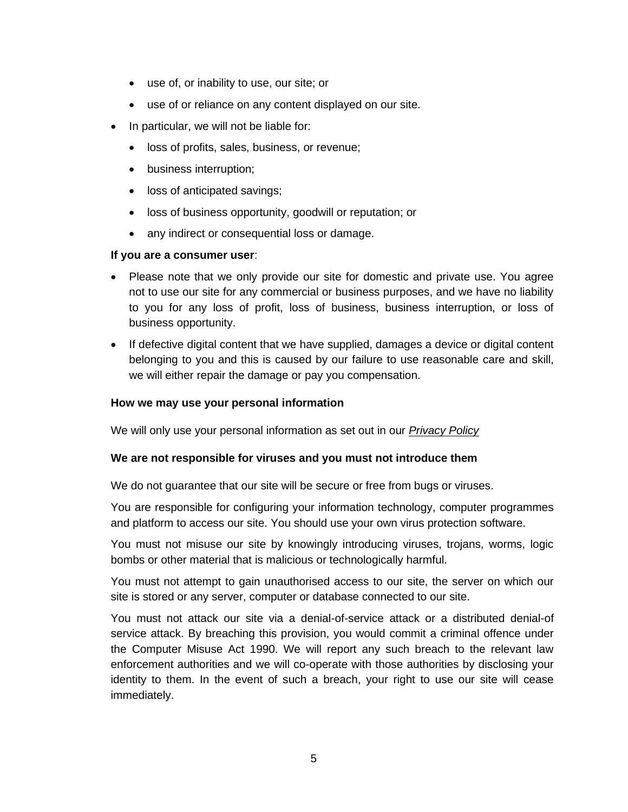- use of, or inability to use, our site; or
- use of or reliance on any content displayed on our site.
- In particular, we will not be liable for:
	- loss of profits, sales, business, or revenue;
	- business interruption;
	- loss of anticipated savings;
	- loss of business opportunity, goodwill or reputation; or
	- any indirect or consequential loss or damage.

### **If you are a consumer user**:

- Please note that we only provide our site for domestic and private use. You agree not to use our site for any commercial or business purposes, and we have no liability to you for any loss of profit, loss of business, business interruption, or loss of business opportunity.
- If defective digital content that we have supplied, damages a device or digital content belonging to you and this is caused by our failure to use reasonable care and skill, we will either repair the damage or pay you compensation.

### **How we may use your personal information**

We will only use your personal information as set out in our *[Privacy Policy](https://www.fakenhamracecourse.co.uk/contact/privacy-policy/)*

### **We are not responsible for viruses and you must not introduce them**

We do not guarantee that our site will be secure or free from bugs or viruses.

You are responsible for configuring your information technology, computer programmes and platform to access our site. You should use your own virus protection software.

You must not misuse our site by knowingly introducing viruses, trojans, worms, logic bombs or other material that is malicious or technologically harmful.

You must not attempt to gain unauthorised access to our site, the server on which our site is stored or any server, computer or database connected to our site.

You must not attack our site via a denial-of-service attack or a distributed denial-of service attack. By breaching this provision, you would commit a criminal offence under the Computer Misuse Act 1990. We will report any such breach to the relevant law enforcement authorities and we will co-operate with those authorities by disclosing your identity to them. In the event of such a breach, your right to use our site will cease immediately.